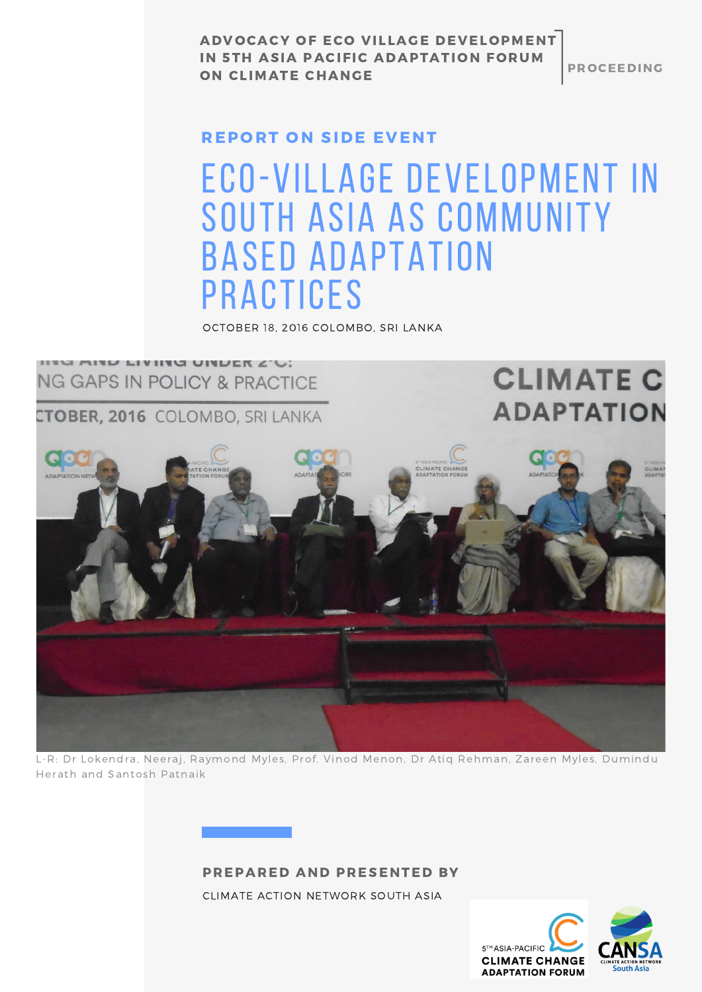**PROCEEDING** 

#### REPORT ON SIDE EVENT

### Eco-Village Development in South Asia As Community Based Adaptation **PRACTICES**

OCTOBER 18, 2016 COLOMBO, SRI LANKA



L-R: Dr Lokendra, Neeraj, Raymond Myles, Prof. Vinod Menon, Dr Atiq Rehman, Zareen Myles, Dumindu Herath and Santosh Patnaik

#### PREPARED AND PRESENTED BY

CLIMATE ACTION NETWORK SOUTH ASIA

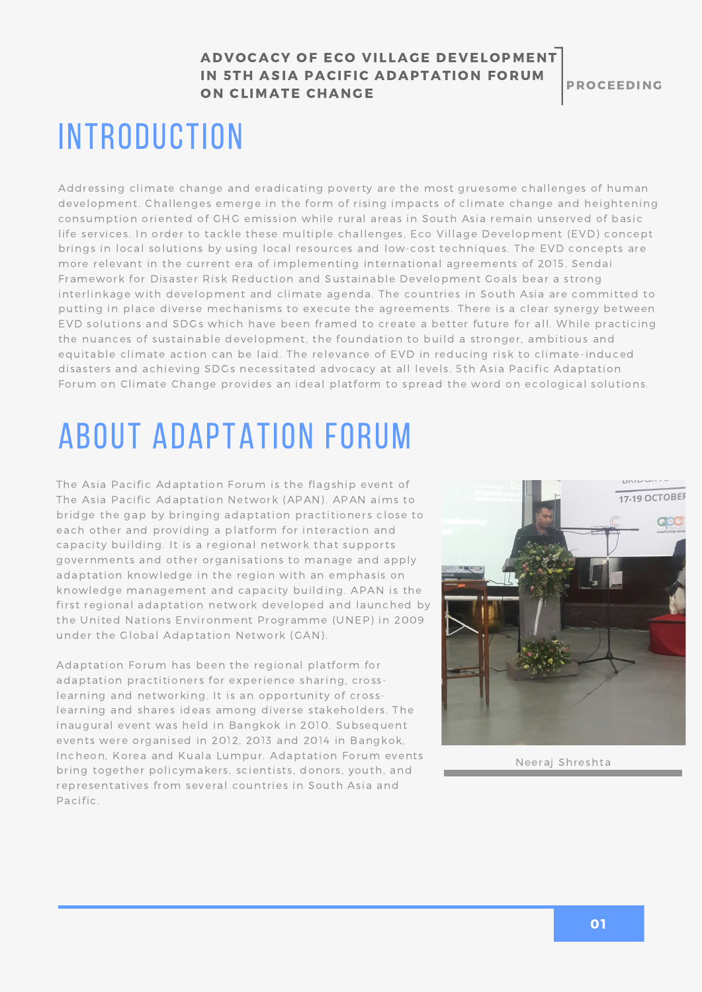**PROCEEDING** 

### **INTRODUCTION**

Addressing climate change and eradicating poverty are the most gruesome challenges of human development. Challenges emerge in the form of rising impacts of climate change and heightening consumption oriented of GHG emission while rural areas in South Asia remain unserved of basic life services. In order to tackle these multiple challenges, Eco Village Development (EVD) concept brings in local solutions by using local resources and low-cost techniques. The EVD concepts are more relevant in the current era of implementing international agreements of 2015. Sendai Framework for Disaster Risk Reduction and Sustainable Development Goals bear a strong interlinkage with development and climate agenda. The countries in South Asia are committed to putting in place diverse mechanisms to execute the agreements. There is a clear synergy between EVD solutions and SDGs which have been framed to create a better future for all. While practicing the nuances of sustainable development, the foundation to build a stronger, ambitious and equitable climate action can be laid. The relevance of EVD in reducing risk to climate-induced disasters and achieving SDGs necessitated advocacy at all levels. 5th Asia Pacific Adaptation Forum on Climate Change provides an ideal platform to spread the word on ecological solutions.

# About Adaptation Forum

The Asia Pacific Adaptation Forum is the flagship event of The Asia Pacific Adaptation Network (APAN). APAN aims to bridge the gap by bringing adaptation practitioners close to each other and providing a platform for interaction and capacity building. It is a regional network that supports governments and other organisations to manage and apply adaptation knowledge in the region with an emphasis on knowledge management and capacity building. APAN is the first regional adaptation network developed and launched by the United Nations Environment Programme (UNEP) in 2009 under the Global Adaptation Network (GAN).

Adaptation Forum has been the regional platform for adaptation practitioners for experience sharing, crosslearning and networking. It is an opportunity of crosslearning and shares ideas among diverse stakeholders. The inaugural event was held in Bangkok in 2010. Subsequent events were organised in 2012, 2013 and 2014 in Bangkok, Incheon, Korea and Kuala Lumpur. Adaptation Forum events bring together policymakers, scientists, donors, youth, and representatives from several countries in South Asia and Pacific.



Neeraj Shreshta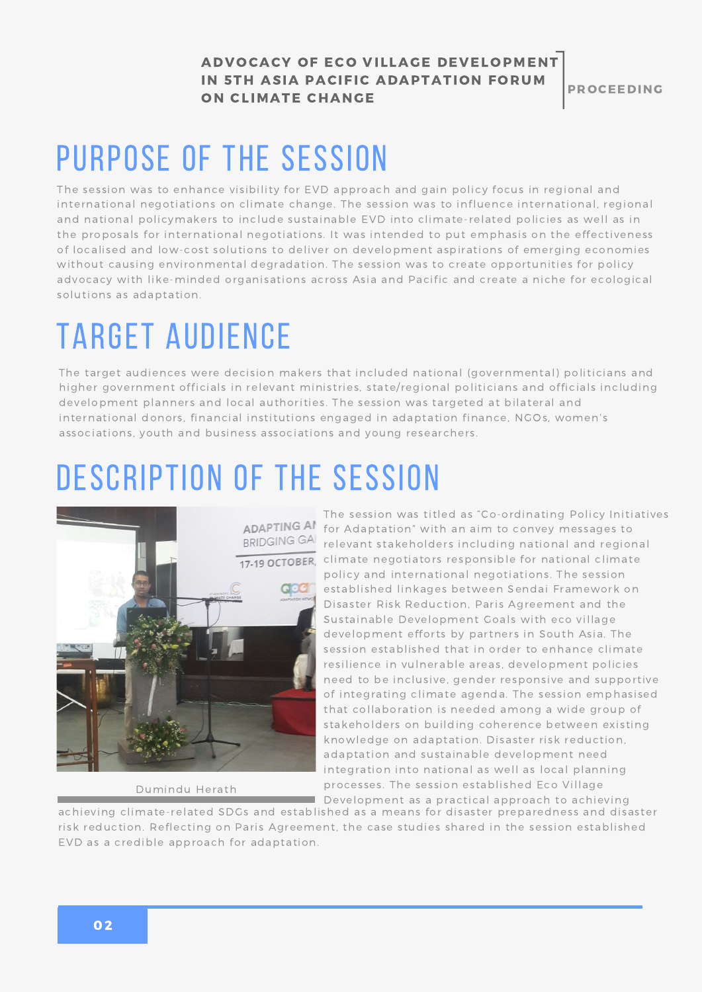**PROCEEDING** 

### Purpose of the session

The session was to enhance visibility for EVD approach and gain policy focus in regional and international negotiations on climate change. The session was to influence international, regional and national policymakers to include sustainable EVD into climate-related policies as well as in the proposals for international negotiations. It was intended to put emphasis on the effectiveness of localised and low-cost solutions to deliver on development aspirations of emerging economies without causing environmental degradation. The session was to create opportunities for policy advocacy with like-minded organisations across Asia and Pacific and create a niche for ecological solutions as adaptation.

## Target Audience

The target audiences were decision makers that included national (governmental) politicians and higher government officials in relevant ministries, state/regional politicians and officials including development planners and local authorities. The session was targeted at bilateral and international donors, financial institutions engaged in adaptation finance, NGOs, women's associations, youth and business associations and young researchers.

## DESCRIPTION OF THE SESSION



Dumindu Herath

The session was titled as "Co-ordinating Policy Initiatives for Adaptation" with an aim to convey messages to relevant stakeholders including national and regional 17-19 OCTOBER, climate negotiators responsible for national climate policy and international negotiations. The session established linkages between Sendai Framework on Disaster Risk Reduction, Paris Agreement and the Sustainable Development Goals with eco village development efforts by partners in South Asia. The session established that in order to enhance climate resilience in vulnerable areas, development policies need to be inclusive, gender responsive and supportive of integrating climate agenda. The session emphasised that collaboration is needed among a wide group of stakeholders on building coherence between existing knowledge on adaptation. Disaster risk reduction, adaptation and sustainable development need integration into national as well as local planning processes. The session established Eco Village Development as a practical approach to achieving

achieving climate-related SDGs and established as a means for disaster preparedness and disaster risk reduction. Reflecting on Paris Agreement, the case studies shared in the session established EVD as a credible approach for adaptation.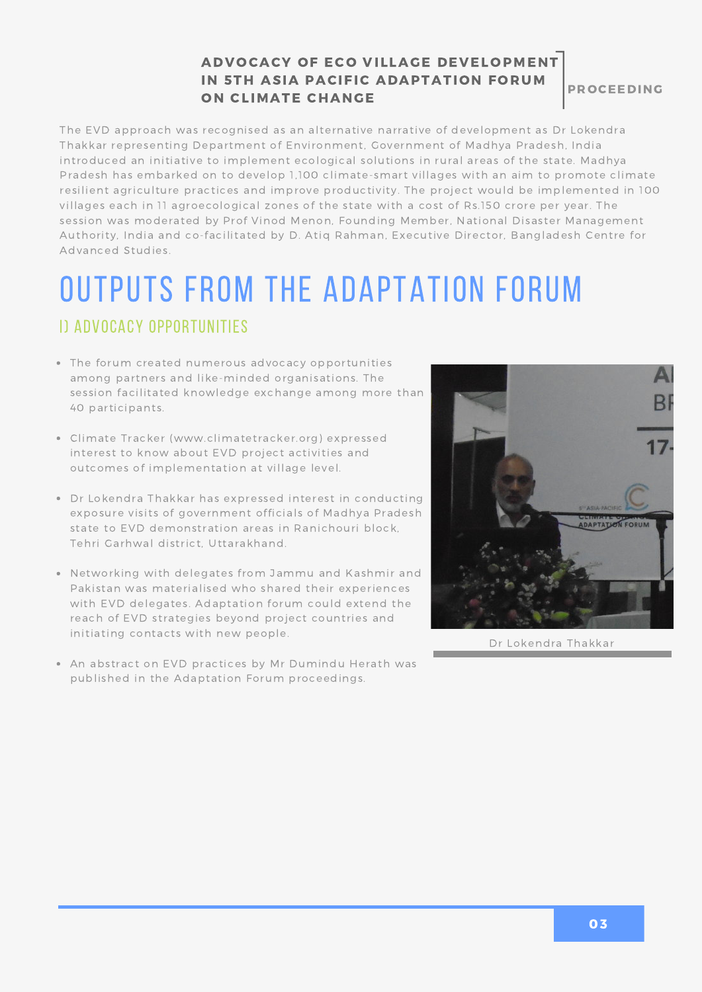**PROCEEDING** 

The EVD approach was recognised as an alternative narrative of development as Dr Lokendra Thakkar representing Department of Environment, Government of Madhya Pradesh, India introduced an initiative to implement ecological solutions in rural areas of the state. Madhya Pradesh has embarked on to develop 1,100 climate-smart villages with an aim to promote climate resilient agriculture practices and improve productivity. The project would be implemented in 100 villages each in 11 agroecological zones of the state with a cost of Rs.150 crore per year. The session was moderated by Prof Vinod Menon, Founding Member, National Disaster Management Authority, India and co-facilitated by D. Atiq Rahman, Executive Director, Bangladesh Centre for Advanced Studies.

### Outputs from the Adaptation Forum

#### i) Advocacy Opportunities

- The forum created numerous advocacy opportunities among partners and like-minded organisations. The session facilitated knowledge exchange among more than 40 participants.
- Climate Tracker [\(www.climatetracker.org\)](http://www.climatetracker.org/) expressed interest to know about EVD project activities and outcomes of implementation at village level.
- Dr Lokendra Thakkar has expressed interest in conducting exposure visits of government officials of Madhya Pradesh state to EVD demonstration areas in Ranichouri block, Tehri Garhwal district, Uttarakhand.
- Networking with delegates from Jammu and Kashmir and Pakistan was materialised who shared their experiences with EVD delegates. Adaptation forum could extend the reach of EVD strategies beyond project countries and initiating contacts with new people.
- An abstract on EVD practices by Mr Dumindu Herath was published in the Adaptation Forum proceedings.



Dr Lokendra Thakkar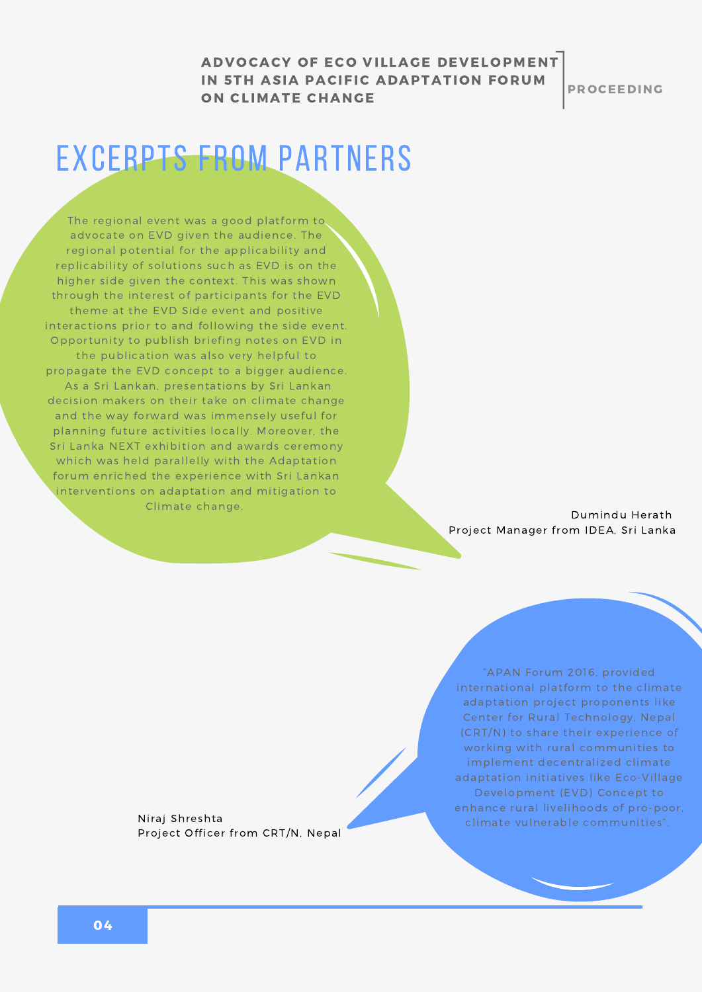**PROCEEDING** 

### Excerpts from partners

The regional event was a good platform to advocate on EVD given the audience. The regional potential for the applicability and replicability of solutions such as EVD is on the higher side given the context. This was shown through the interest of participants for the EVD theme at the EVD Side event and positive interactions prior to and following the side event. Opportunity to publish briefing notes on EVD in the publication was also very helpful to propagate the EVD concept to a bigger audience. As a Sri Lankan, presentations by Sri Lankan decision makers on their take on climate change and the way forward was immensely useful for planning future activities locally. Moreover, the Sri Lanka NEXT exhibition and awards ceremony which was held parallelly with the Adaptation forum enriched the experience with Sri Lankan interventions on adaptation and mitigation to Climate change.

Dumindu Herath Project Manager from IDEA, Sri Lanka

Project Officer from CRT/N, Nepal

"APAN Forum 2016, provided international platform to the climate adaptation project proponents like Center for Rural Technology, Nepal (CRT/N) to share their experience of working with rural communities to implement decentralized climate adaptation initiatives like Eco-Village Development (EVD) Concept to enhance rural livelihoods of pro-poor, climate vulnerable communities". Niraj Shreshta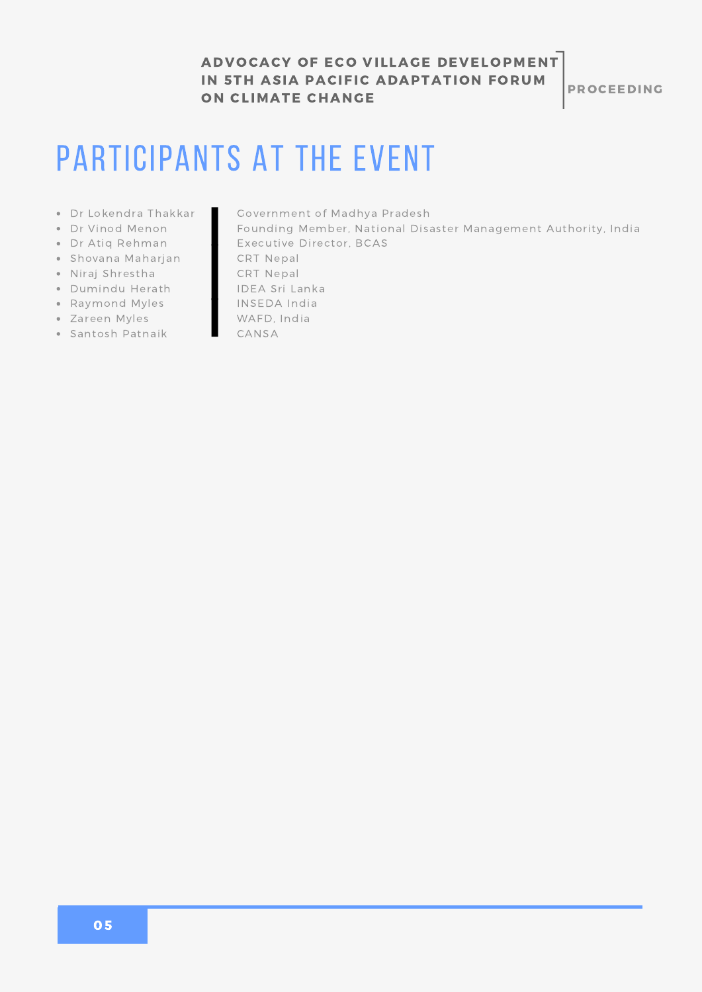**PROCEEDING** 

### PARTICIPANTS AT THE EVENT

- Dr Lokendra Thakkar
- Dr Vinod Menon
- Dr Atiq Rehman
- Shovana Maharjan
- Niraj Shrestha
- Dumindu Herath
- Raymond Myles
- Zareen Myles
- Santosh Patnaik
- [Government](http://www.climatetracker.org/) of Madhya Pradesh
- Founding Member, National Disaster [Management](http://www.climatetracker.org/) Authority, India Executive Director, BCAS
- CRT Nepal
- 
- CRT Nepal IDEA Sri Lanka
- INSEDA India
- WAFD, India
- CANSA